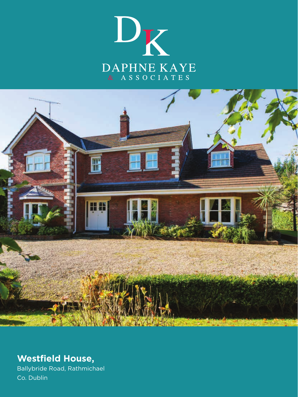



# **Westfield House,**

Ballybride Road, Rathmichael Co. Dublin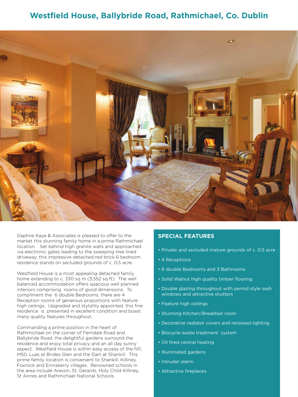# **Westfield House, Ballybride Road, Rathmichael, Co. Dublin**



Daphne Kaye & Associates is pleased to offer to the market this stunning family home in a prime Rathmichael location. Set behind high granite walls and approached via electronic gates leading to the sweeping tree lined driveway, this impressive detached red brick 6 bedroom residence stands on secluded grounds of c. 0.5 acre.

Westfield House is a most appealing detached family home extending to c. 330 sq m (3,552 sq ft). The well balanced accommodation offers spacious well planned interiors comprising rooms of good dimensions. To compliment the 6 double Bedrooms, there are 4 Reception rooms of generous proportions with feature high ceilings. Upgraded and stylishly appointed, this fine residence is presented in excellent condition and boast many quality features throughout.

Commanding a prime position in the heart of Rathmichael on the corner of Ferndale Road and Ballybride Road, the delightful gardens surround the residence and enjoy total privacy and an all day sunny aspect. Westfield House is within easy access of the N11, M50, Luas at Brides Glen and the Dart at Shankill. This prime family location is convenient to Shankill, Killiney, Foxrock and Enniskerry villages. Renowned schools in the area include Aravon, St. Gerards, Holy Child Killiney, St Annes and Rathmichael National Schools.

# **SPECIAL FEATURES**

- Private and secluded mature grounds of c. 0.5 acre
- 4 Receptions
- 6 double Bedrooms and 3 Bathrooms
- Solid Walnut high quality timber flooring
- Double glazing throughout with period style sash windows and attractive shutters
- Feature high ceilings
- Stunning Kitchen/Breakfast room
- Decorative radiator covers and recessed lighting
- Biocycle waste treatment system
- Oil fired central heating
- Illuminated gardens
- Intruder alarm
- Attractive fireplaces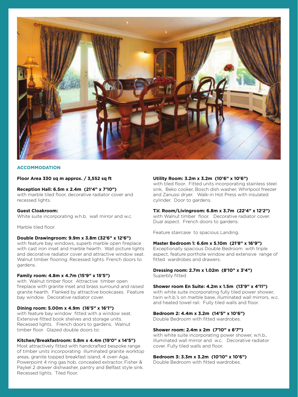

#### **ACCOMMODATION**

#### **Floor Area 330 sq m approx. / 3,552 sq ft**

#### **Reception Hall: 6.5m x 2.4m (21'4" x 7'10")**

with marble tiled floor, decorative radiator cover and recessed lights.

#### **Guest Cloakroom:**

White suite incorporating w.h.b. wall mirror and w.c.

Marble tiled floor.

#### **Double Drawingroom: 9.9m x 3.8m (32'6" x 12'6")**

with feature bay windows, superb marble open fireplace with cast iron inset and marble hearth. Wall picture lights and decorative radiator cover and attractive window seat. Walnut timber flooring. Recessed lights. French doors to gardens.

### **Family room: 4.8m x 4.7m (15'9" x 15'5")**

with Walnut timber floor. Attractive timber open fireplace with granite inset and brass surround and raised granite hearth. Flanked by attractive bookcases. Feature bay window. Decorative radiator cover.

#### **Dining room: 5.00m x 4.9m (16'5" x 16'1")**

with feature bay window fitted with a window seat. Extensive fitted book shelves and storage units. Recessed lights. French doors to gardens. Walnut timber floor. Glazed double doors to:

# **Kitchen/Breakfastroom: 5.8m x 4.4m (19'0" x 14'5")**

Most attractively fitted with handcrafted bespoke range of timber units incorporating illuminated granite worktop areas, granite topped breakfast island, 4 oven Aga, Powerpoint 4 ring gas hob, concealed extractor, Fisher & Paykel 2 drawer dishwasher, pantry and Belfast style sink. Recessed lights. Tiled floor.

#### **Utility Room: 3.2m x 3.2m (10'6" x 10'6")**

with tiled floor. Fitted units incorporating stainless steel sink, Beko cooker, Bosch dish washer, Whirlpool freezer and Zanussi dryer. Walk-in Hot Press with insulated cylinder. Door to gardens.

#### **T.V. Room/Livingroom: 6.8m x 3.7m (22'4" x 12'2")**

with Walnut timber floor. Decorative radiator cover. Dual aspect. French doors to gardens.

Feature staircase to spacious Landing.

#### **Master Bedroom 1: 6.6m x 5.10m (21'8" x 16'9")**

Exceptionally spacious Double Bedroom with triple aspect, feature porthole window and extensive range of fitted wardrobes and drawers.

#### **Dressing room: 2.7m x 1.02m (8'10" x 3'4")**  Superbly fitted

#### **Shower room En Suite: 4.2m x 1.5m (13'9" x 4'11")**

with white suite incorporating fully tiled power shower, twin w.h.b.'s on marble base, illuminated wall mirrors, w.c. and heated towel rail. Fully tiled walls and floor.

#### **Bedroom 2: 4.4m x 3.2m (14'5" x 10'6")**

Double Bedroom with fitted wardrobes.

#### **Shower room: 2.4m x 2m (7'10" x 6'7")**

with white suite incorporating power shower, w.h.b., illuminated wall mirror and w.c. Decorative radiator cover. Fully tiled walls and floor.

## **Bedroom 3: 3.3m x 3.2m (10'10" x 10'6")**

Double Bedroom with fitted wardrobes.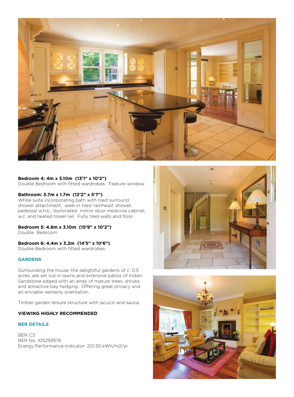

# **Bedroom 4: 4m x 3.10m (13'1" x 10'2")**

Double Bedroom with fitted wardrobes. Feature window.

## **Bathroom: 3.7m x 1.7m (12'2" x 5'7")**

White suite incorporating bath with tiled surround, shower attachment, walk-in tiled 'rainhead' shower, pedestal w.h.b., illuminated mirror door medicine cabinet, w.c. and heated towel rail. Fully tiled walls and floor.

# **Bedroom 5: 4.8m x 3.10m (15'9" x 10'2")**

Double Bedroom

**Bedroom 6: 4.4m x 3.2m (14'5" x 10'6")** 

Double Bedroom with fitted wardrobes.

# **GARDENS**

Surrounding the house, the delightful gardens of c. 0.5 acres, are set out in lawns and extensive patios of Indian Sandstone edged with an array of mature trees, shrubs and attractive bay hedging. Offering great privacy and an enviable westerly orientation.

Timber garden leisure structure with jacuzzi and sauna.

# **VIEWING HIGHLY RECOMMENDED**

# **BER DETAILS**

BER C3 BER No. 105259576 Energy Performance Indicator: 201.55 kWh/m2/yr



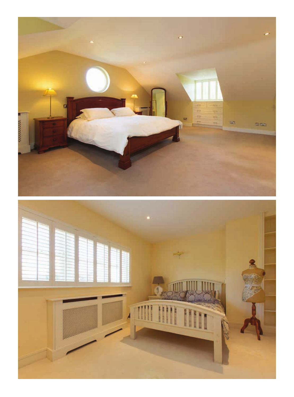